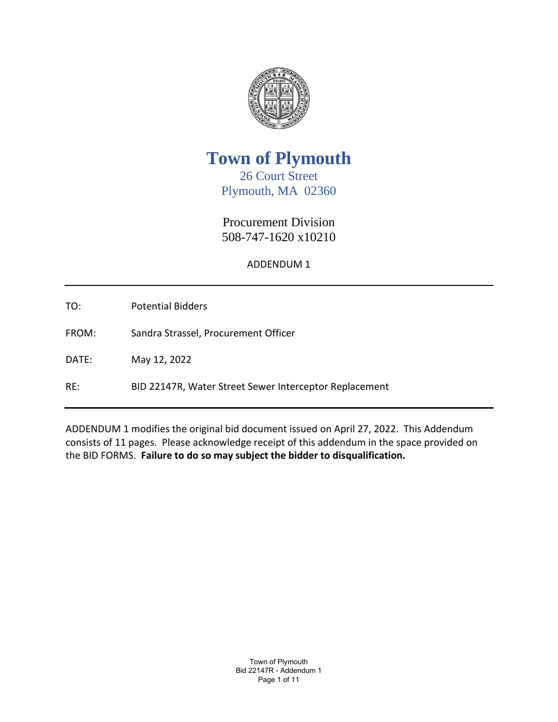

**Town of Plymouth**

26 Court Street Plymouth, MA 02360

Procurement Division 508-747-1620 x10210

ADDENDUM 1

TO: Potential Bidders

FROM: Sandra Strassel, Procurement Officer

DATE: May 12, 2022

RE: BID 22147R, Water Street Sewer Interceptor Replacement

ADDENDUM 1 modifies the original bid document issued on April 27, 2022. This Addendum consists of 11 pages. Please acknowledge receipt of this addendum in the space provided on the BID FORMS. **Failure to do so may subject the bidder to disqualification.**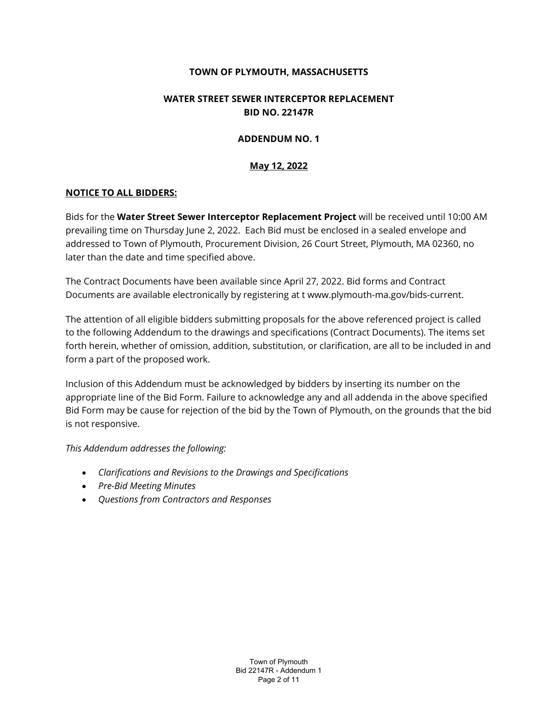### **TOWN OF PLYMOUTH, MASSACHUSETTS**

### **WATER STREET SEWER INTERCEPTOR REPLACEMENT BID NO. 22147R**

### **ADDENDUM NO. 1**

### **May 12, 2022**

### **NOTICE TO ALL BIDDERS:**

Bids for the **Water Street Sewer Interceptor Replacement Project** will be received until 10:00 AM prevailing time on Thursday June 2, 2022. Each Bid must be enclosed in a sealed envelope and addressed to Town of Plymouth, Procurement Division, 26 Court Street, Plymouth, MA 02360, no later than the date and time specified above.

The Contract Documents have been available since April 27, 2022. Bid forms and Contract Documents are available electronically by registering at t www.plymouth-ma.gov/bids-current.

The attention of all eligible bidders submitting proposals for the above referenced project is called to the following Addendum to the drawings and specifications (Contract Documents). The items set forth herein, whether of omission, addition, substitution, or clarification, are all to be included in and form a part of the proposed work.

Inclusion of this Addendum must be acknowledged by bidders by inserting its number on the appropriate line of the Bid Form. Failure to acknowledge any and all addenda in the above specified Bid Form may be cause for rejection of the bid by the Town of Plymouth, on the grounds that the bid is not responsive.

*This Addendum addresses the following:*

- *Clarifications and Revisions to the Drawings and Specifications*
- *Pre-Bid Meeting Minutes*
- *Questions from Contractors and Responses*

Town of Plymouth Bid 22147R - Addendum 1 Page 2 of 11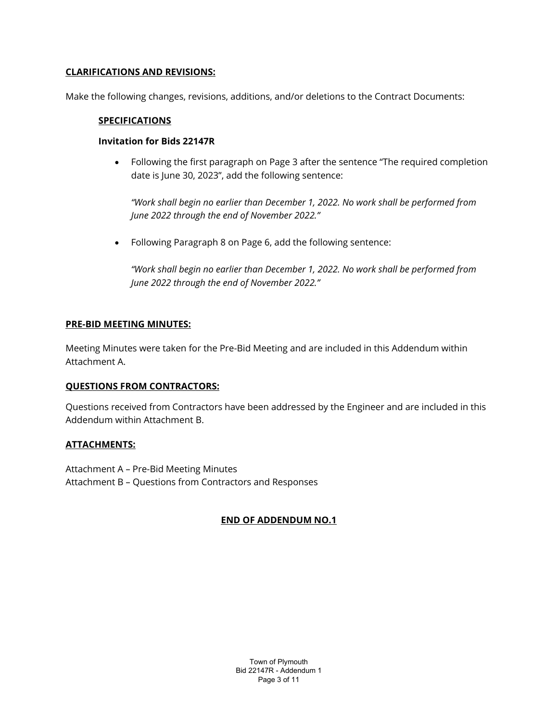### **CLARIFICATIONS AND REVISIONS:**

Make the following changes, revisions, additions, and/or deletions to the Contract Documents:

### **SPECIFICATIONS**

### **Invitation for Bids 22147R**

• Following the first paragraph on Page 3 after the sentence "The required completion date is June 30, 2023", add the following sentence:

*"Work shall begin no earlier than December 1, 2022. No work shall be performed from June 2022 through the end of November 2022."*

• Following Paragraph 8 on Page 6, add the following sentence:

*"Work shall begin no earlier than December 1, 2022. No work shall be performed from June 2022 through the end of November 2022."*

### **PRE-BID MEETING MINUTES:**

Meeting Minutes were taken for the Pre-Bid Meeting and are included in this Addendum within Attachment A.

### **QUESTIONS FROM CONTRACTORS:**

Questions received from Contractors have been addressed by the Engineer and are included in this Addendum within Attachment B.

### **ATTACHMENTS:**

Attachment A – Pre-Bid Meeting Minutes Attachment B – Questions from Contractors and Responses

### **END OF ADDENDUM NO.1**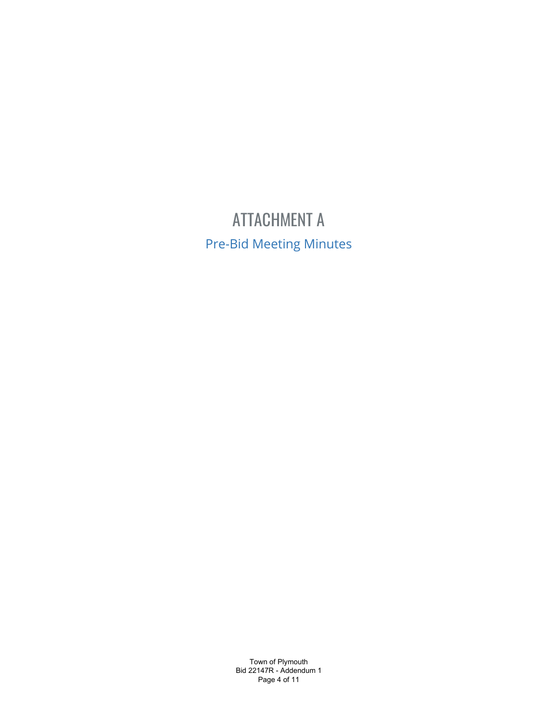## ATTACHMENT A Pre-Bid Meeting Minutes

Town of Plymouth Bid 22147R - Addendum 1 Page 4 of 11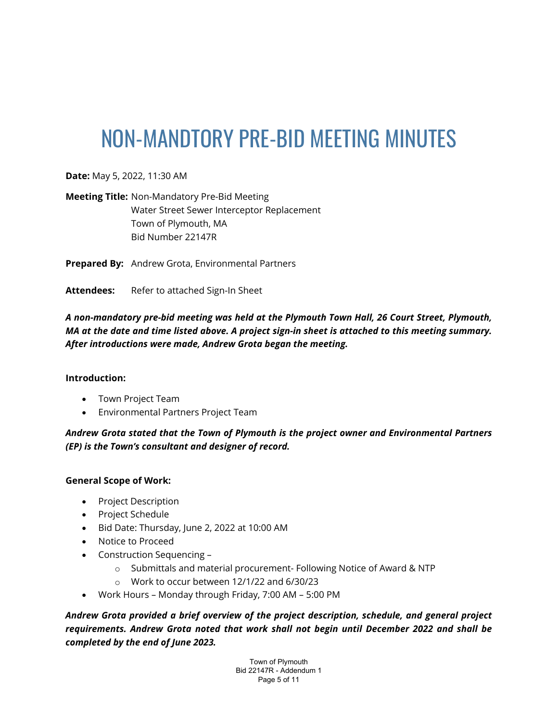# NON-MANDTORY PRE-BID MEETING MINUTES

**Date:** May 5, 2022, 11:30 AM

**Meeting Title:** Non-Mandatory Pre-Bid Meeting Water Street Sewer Interceptor Replacement Town of Plymouth, MA Bid Number 22147R

**Prepared By:** Andrew Grota, Environmental Partners

Attendees: Refer to attached Sign-In Sheet

*A non-mandatory pre-bid meeting was held at the Plymouth Town Hall, 26 Court Street, Plymouth, MA at the date and time listed above. A project sign-in sheet is attached to this meeting summary. After introductions were made, Andrew Grota began the meeting.*

### **Introduction:**

- Town Project Team
- Environmental Partners Project Team

*Andrew Grota stated that the Town of Plymouth is the project owner and Environmental Partners (EP) is the Town's consultant and designer of record.* 

### **General Scope of Work:**

- Project Description
- Project Schedule
- Bid Date: Thursday, June 2, 2022 at 10:00 AM
- Notice to Proceed
- Construction Sequencing
	- $\circ$  Submittals and material procurement- Following Notice of Award & NTP
	- o Work to occur between 12/1/22 and 6/30/23
- Work Hours Monday through Friday, 7:00 AM 5:00 PM

*Andrew Grota provided a brief overview of the project description, schedule, and general project requirements. Andrew Grota noted that work shall not begin until December 2022 and shall be completed by the end of June 2023.* 

> Town of Plymouth Bid 22147R - Addendum 1 Page 5 of 11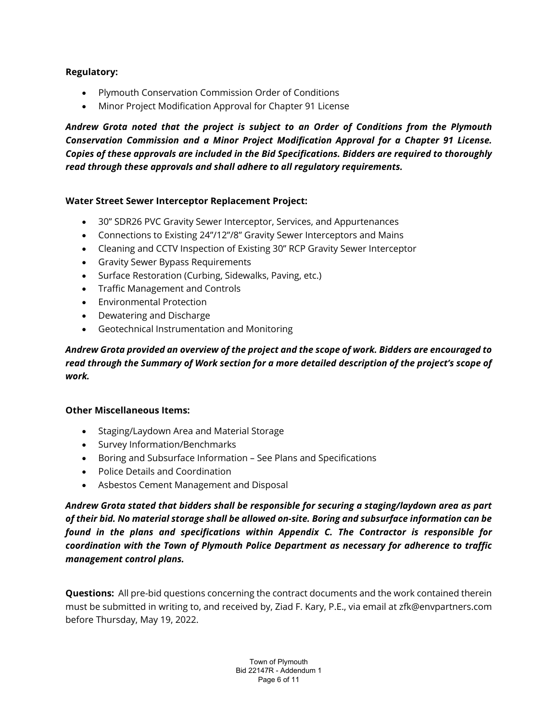### **Regulatory:**

- Plymouth Conservation Commission Order of Conditions
- Minor Project Modification Approval for Chapter 91 License

*Andrew Grota noted that the project is subject to an Order of Conditions from the Plymouth Conservation Commission and a Minor Project Modification Approval for a Chapter 91 License. Copies of these approvals are included in the Bid Specifications. Bidders are required to thoroughly read through these approvals and shall adhere to all regulatory requirements.* 

### **Water Street Sewer Interceptor Replacement Project:**

- 30" SDR26 PVC Gravity Sewer Interceptor, Services, and Appurtenances
- Connections to Existing 24"/12"/8" Gravity Sewer Interceptors and Mains
- Cleaning and CCTV Inspection of Existing 30" RCP Gravity Sewer Interceptor
- Gravity Sewer Bypass Requirements
- Surface Restoration (Curbing, Sidewalks, Paving, etc.)
- Traffic Management and Controls
- Environmental Protection
- Dewatering and Discharge
- Geotechnical Instrumentation and Monitoring

*Andrew Grota provided an overview of the project and the scope of work. Bidders are encouraged to read through the Summary of Work section for a more detailed description of the project's scope of work.* 

### **Other Miscellaneous Items:**

- Staging/Laydown Area and Material Storage
- Survey Information/Benchmarks
- Boring and Subsurface Information See Plans and Specifications
- Police Details and Coordination
- Asbestos Cement Management and Disposal

*Andrew Grota stated that bidders shall be responsible for securing a staging/laydown area as part of their bid. No material storage shall be allowed on-site. Boring and subsurface information can be found in the plans and specifications within Appendix C. The Contractor is responsible for coordination with the Town of Plymouth Police Department as necessary for adherence to traffic management control plans.*

**Questions:** All pre-bid questions concerning the contract documents and the work contained therein must be submitted in writing to, and received by, Ziad F. Kary, P.E., via email at zfk@envpartners.com before Thursday, May 19, 2022.

> Town of Plymouth Bid 22147R - Addendum 1 Page 6 of 11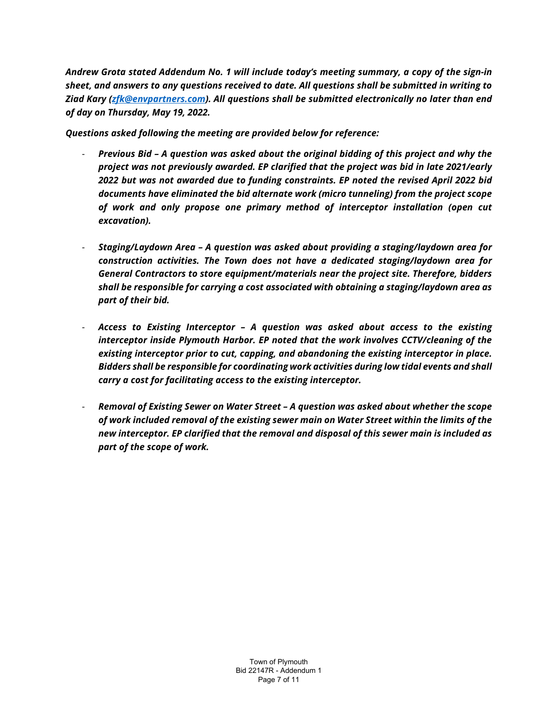*Andrew Grota stated Addendum No. 1 will include today's meeting summary, a copy of the sign-in sheet, and answers to any questions received to date. All questions shall be submitted in writing to Ziad Kary [\(zfk@envpartners.com\)](mailto:zfk@envpartners.com). All questions shall be submitted electronically no later than end of day on Thursday, May 19, 2022.* 

*Questions asked following the meeting are provided below for reference:*

- *Previous Bid A question was asked about the original bidding of this project and why the project was not previously awarded. EP clarified that the project was bid in late 2021/early 2022 but was not awarded due to funding constraints. EP noted the revised April 2022 bid documents have eliminated the bid alternate work (micro tunneling) from the project scope of work and only propose one primary method of interceptor installation (open cut excavation).*
- *Staging/Laydown Area A question was asked about providing a staging/laydown area for construction activities. The Town does not have a dedicated staging/laydown area for General Contractors to store equipment/materials near the project site. Therefore, bidders shall be responsible for carrying a cost associated with obtaining a staging/laydown area as part of their bid.*
- *Access to Existing Interceptor A question was asked about access to the existing interceptor inside Plymouth Harbor. EP noted that the work involves CCTV/cleaning of the existing interceptor prior to cut, capping, and abandoning the existing interceptor in place. Bidders shall be responsible for coordinating work activities during low tidal events and shall carry a cost for facilitating access to the existing interceptor.*
- *Removal of Existing Sewer on Water Street A question was asked about whether the scope of work included removal of the existing sewer main on Water Street within the limits of the new interceptor. EP clarified that the removal and disposal of this sewer main is included as part of the scope of work.*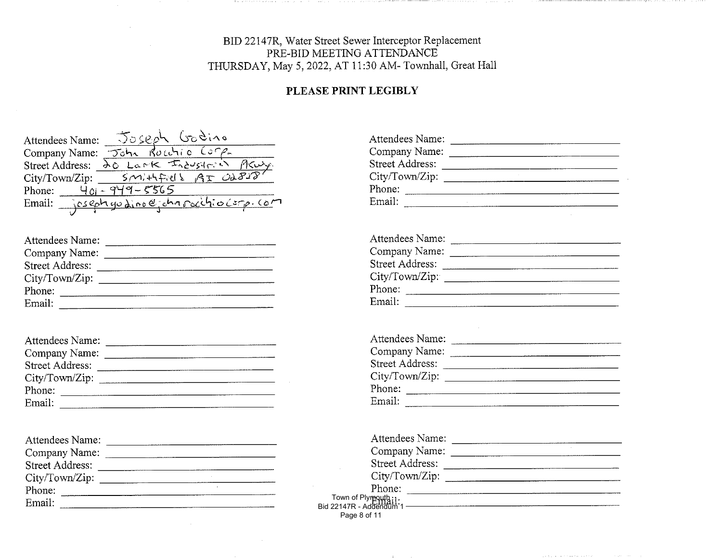### BID 22147R, Water Street Sewer Interceptor Replacement<br>PRE-BID MEETING ATTENDANCE THURSDAY, May 5, 2022, AT 11:30 AM- Townhall, Great Hall

### PLEASE PRINT LEGIBLY

| Attendees Name:        | Joseph Godino                    |
|------------------------|----------------------------------|
| Company Name:          | Routio Comp<br>$\tau$ oh $\sim$  |
| <b>Street Address:</b> | 20 Lank Industrial               |
| City/ Town/Zip:        | SMITTERS AT OL818                |
| Phone:<br>$40 -$       | $949 - 5565$                     |
| Email:                 | joseph godino@ichapocitiocorp.co |
|                        |                                  |

| Attendees Name:                                     |                    |
|-----------------------------------------------------|--------------------|
| Company Name:                                       |                    |
| Street Address:                                     |                    |
| City/Town/Zip:                                      |                    |
| Phone:                                              |                    |
| Email:<br>-------------------<br>AAAAA4444400AAAAAA | ------------------ |

| Attendees Name:        |                                       |
|------------------------|---------------------------------------|
| Company Name:          |                                       |
| <b>Street Address:</b> |                                       |
| City/Town/Zip:         |                                       |
| Phone:                 |                                       |
| Email:                 | _________________<br>---------------- |

| Attendees Name:        |  |
|------------------------|--|
| Company Name:          |  |
| <b>Street Address:</b> |  |
| City/Town/Zip:         |  |
| Phone:                 |  |
| Email:                 |  |

| Attendees Name:        |  |
|------------------------|--|
| Company Name:          |  |
| <b>Street Address:</b> |  |
| City/Town/Zip:         |  |
| Phone:                 |  |
| Email:                 |  |

| Attendees Name:        |  |
|------------------------|--|
| Company Name:          |  |
| <b>Street Address:</b> |  |
| City/Town/Zip:         |  |
| Phone:                 |  |
| Email:                 |  |

| Attendees Name:                   |  |
|-----------------------------------|--|
| Company Name:                     |  |
| Street Address:                   |  |
| City/Town/Zip:                    |  |
| Phone:                            |  |
| Email:<br>----------------------- |  |

| Attendees Name:                                 |  |
|-------------------------------------------------|--|
| Company Name:                                   |  |
| <b>Street Address:</b>                          |  |
| City/Town/Zip:                                  |  |
| Phone:                                          |  |
| : Town of Plymouth:<br>1: Bid 22147R - Addendum |  |
|                                                 |  |
| Page 8 of 11                                    |  |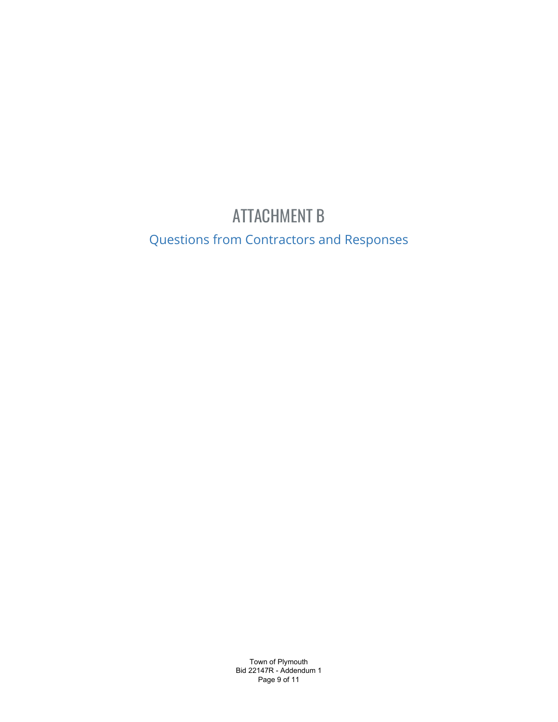### ATTACHMENT B

Questions from Contractors and Responses

Town of Plymouth Bid 22147R - Addendum 1 Page 9 of 11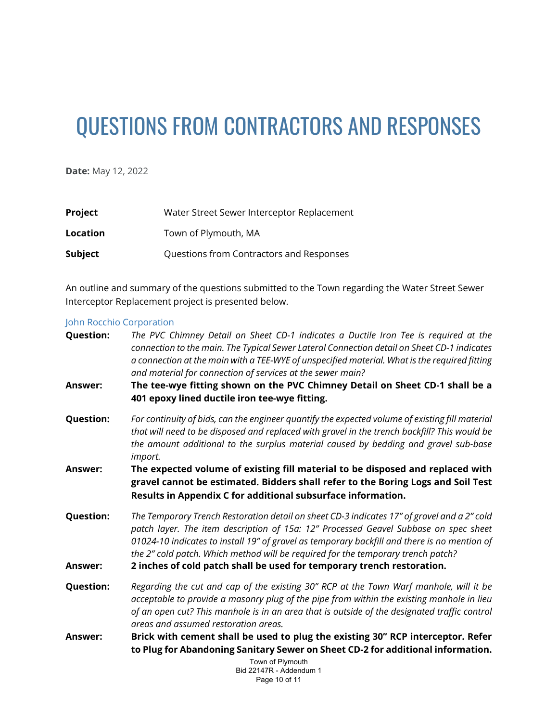# QUESTIONS FROM CONTRACTORS AND RESPONSES

**Date:** May 12, 2022

| <b>Project</b> | Water Street Sewer Interceptor Replacement |
|----------------|--------------------------------------------|
| Location       | Town of Plymouth, MA                       |
| Subject        | Questions from Contractors and Responses   |

An outline and summary of the questions submitted to the Town regarding the Water Street Sewer Interceptor Replacement project is presented below.

### John Rocchio Corporation

| <b>Question:</b> | The PVC Chimney Detail on Sheet CD-1 indicates a Ductile Iron Tee is required at the<br>connection to the main. The Typical Sewer Lateral Connection detail on Sheet CD-1 indicates<br>a connection at the main with a TEE-WYE of unspecified material. What is the required fitting<br>and material for connection of services at the sewer main?                      |
|------------------|-------------------------------------------------------------------------------------------------------------------------------------------------------------------------------------------------------------------------------------------------------------------------------------------------------------------------------------------------------------------------|
| Answer:          | The tee-wye fitting shown on the PVC Chimney Detail on Sheet CD-1 shall be a<br>401 epoxy lined ductile iron tee-wye fitting.                                                                                                                                                                                                                                           |
| <b>Question:</b> | For continuity of bids, can the engineer quantify the expected volume of existing fill material<br>that will need to be disposed and replaced with gravel in the trench backfill? This would be<br>the amount additional to the surplus material caused by bedding and gravel sub-base<br>import.                                                                       |
| <b>Answer:</b>   | The expected volume of existing fill material to be disposed and replaced with<br>gravel cannot be estimated. Bidders shall refer to the Boring Logs and Soil Test<br>Results in Appendix C for additional subsurface information.                                                                                                                                      |
| <b>Question:</b> | The Temporary Trench Restoration detail on sheet CD-3 indicates 17" of gravel and a 2" cold<br>patch layer. The item description of 15a: 12" Processed Geavel Subbase on spec sheet<br>01024-10 indicates to install 19" of gravel as temporary backfill and there is no mention of<br>the 2" cold patch. Which method will be required for the temporary trench patch? |
| <b>Answer:</b>   | 2 inches of cold patch shall be used for temporary trench restoration.                                                                                                                                                                                                                                                                                                  |
| <b>Question:</b> | Regarding the cut and cap of the existing 30" RCP at the Town Warf manhole, will it be<br>acceptable to provide a masonry plug of the pipe from within the existing manhole in lieu<br>of an open cut? This manhole is in an area that is outside of the designated traffic control<br>areas and assumed restoration areas.                                             |
| <b>Answer:</b>   | Brick with cement shall be used to plug the existing 30" RCP interceptor. Refer                                                                                                                                                                                                                                                                                         |
|                  | to Plug for Abandoning Sanitary Sewer on Sheet CD-2 for additional information.                                                                                                                                                                                                                                                                                         |
|                  | Town of Plymouth                                                                                                                                                                                                                                                                                                                                                        |

Bid 22147R - Addendum 1 Page 10 of 11